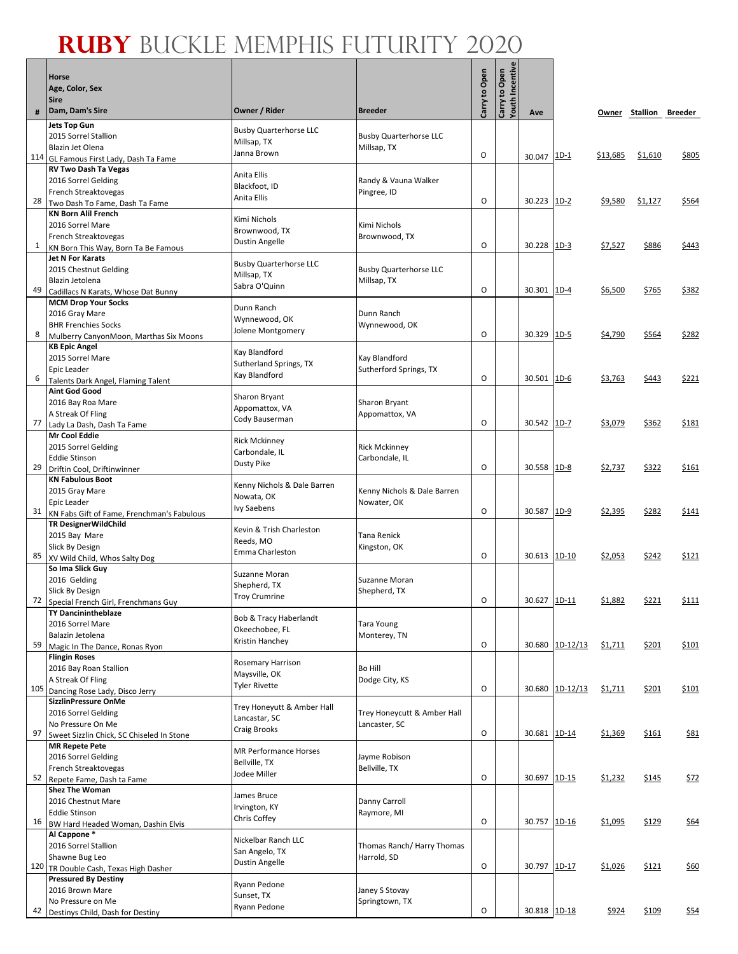٦

Г

|     | <b>Horse</b>                                                              |                                             |                                              |               |                           |              |                 |                 |                        |             |
|-----|---------------------------------------------------------------------------|---------------------------------------------|----------------------------------------------|---------------|---------------------------|--------------|-----------------|-----------------|------------------------|-------------|
|     | Age, Color, Sex                                                           |                                             |                                              | Carry to Open | Incentiv<br>Carry to Open |              |                 |                 |                        |             |
|     | Sire                                                                      |                                             |                                              |               | Youth                     |              |                 |                 |                        |             |
| #   | Dam, Dam's Sire                                                           | Owner / Rider                               | <b>Breeder</b>                               |               |                           | Ave          |                 |                 | Owner Stallion Breeder |             |
|     | <b>Jets Top Gun</b><br>2015 Sorrel Stallion                               | <b>Busby Quarterhorse LLC</b>               | <b>Busby Quarterhorse LLC</b>                |               |                           |              |                 |                 |                        |             |
|     | Blazin Jet Olena                                                          | Millsap, TX                                 | Millsap, TX                                  |               |                           |              |                 |                 |                        |             |
|     | 114 GL Famous First Lady, Dash Ta Fame                                    | Janna Brown                                 |                                              | O             |                           | 30.047       | $1D-1$          | <u>\$13,685</u> | \$1,610                | \$805       |
|     | <b>RV Two Dash Ta Vegas</b>                                               | Anita Ellis                                 |                                              |               |                           |              |                 |                 |                        |             |
|     | 2016 Sorrel Gelding<br>French Streaktovegas                               | Blackfoot, ID                               | Randy & Vauna Walker<br>Pingree, ID          |               |                           |              |                 |                 |                        |             |
| 28  | Two Dash To Fame, Dash Ta Fame                                            | Anita Ellis                                 |                                              | $\circ$       |                           | 30.223       | $1D-2$          | <u>\$9,580</u>  | \$1,127                | \$564       |
|     | <b>KN Born Alil French</b>                                                | Kimi Nichols                                |                                              |               |                           |              |                 |                 |                        |             |
|     | 2016 Sorrel Mare<br>French Streaktovegas                                  | Brownwood, TX                               | Kimi Nichols<br>Brownwood, TX                |               |                           |              |                 |                 |                        |             |
| 1   | KN Born This Way, Born Ta Be Famous                                       | Dustin Angelle                              |                                              | 0             |                           | 30.228       | $1D-3$          | <u>\$7,527</u>  | \$886                  | \$443       |
|     | <b>Jet N For Karats</b>                                                   | <b>Busby Quarterhorse LLC</b>               |                                              |               |                           |              |                 |                 |                        |             |
|     | 2015 Chestnut Gelding<br>Blazin Jetolena                                  | Millsap, TX                                 | <b>Busby Quarterhorse LLC</b><br>Millsap, TX |               |                           |              |                 |                 |                        |             |
| 49  | Cadillacs N Karats, Whose Dat Bunny                                       | Sabra O'Quinn                               |                                              | $\circ$       |                           | 30.301       | $1D-4$          | \$6,500         | \$765                  | \$382       |
|     | <b>MCM Drop Your Socks</b>                                                | Dunn Ranch                                  |                                              |               |                           |              |                 |                 |                        |             |
|     | 2016 Gray Mare<br><b>BHR Frenchies Socks</b>                              | Wynnewood, OK                               | Dunn Ranch<br>Wynnewood, OK                  |               |                           |              |                 |                 |                        |             |
| 8   | Mulberry CanyonMoon, Marthas Six Moons                                    | Jolene Montgomery                           |                                              | 0             |                           | 30.329       | $1D-5$          | \$4,790         | \$564                  | \$282       |
|     | <b>KB Epic Angel</b>                                                      | Kay Blandford                               |                                              |               |                           |              |                 |                 |                        |             |
|     | 2015 Sorrel Mare<br>Epic Leader                                           | Sutherland Springs, TX                      | Kay Blandford<br>Sutherford Springs, TX      |               |                           |              |                 |                 |                        |             |
| 6   | Talents Dark Angel, Flaming Talent                                        | Kay Blandford                               |                                              | $\circ$       |                           | 30.501       | $1D-6$          | <u>\$3,763</u>  | \$443                  | \$221       |
|     | <b>Aint God Good</b>                                                      | Sharon Bryant                               |                                              |               |                           |              |                 |                 |                        |             |
|     | 2016 Bay Roa Mare                                                         | Appomattox, VA                              | Sharon Bryant                                |               |                           |              |                 |                 |                        |             |
| 77  | A Streak Of Fling<br>Lady La Dash, Dash Ta Fame                           | Cody Bauserman                              | Appomattox, VA                               | O             |                           | 30.542       | $1D-7$          | \$3,079         | \$362                  | \$181       |
|     | <b>Mr Cool Eddie</b>                                                      | <b>Rick Mckinney</b>                        |                                              |               |                           |              |                 |                 |                        |             |
|     | 2015 Sorrel Gelding                                                       | Carbondale, IL                              | <b>Rick Mckinney</b>                         |               |                           |              |                 |                 |                        |             |
| 29  | <b>Eddie Stinson</b><br>Driftin Cool, Driftinwinner                       | Dusty Pike                                  | Carbondale, IL                               | $\circ$       |                           | 30.558       | $1D-8$          | \$2,737         | \$322                  | \$161       |
|     | <b>KN Fabulous Boot</b>                                                   |                                             |                                              |               |                           |              |                 |                 |                        |             |
|     | 2015 Gray Mare                                                            | Kenny Nichols & Dale Barren<br>Nowata, OK   | Kenny Nichols & Dale Barren                  |               |                           |              |                 |                 |                        |             |
| 31  | <b>Epic Leader</b>                                                        | <b>Ivy Saebens</b>                          | Nowater, OK                                  | O             |                           | 30.587       | 1D-9            | \$2,395         | \$282                  | \$141       |
|     | KN Fabs Gift of Fame, Frenchman's Fabulous<br><b>TR DesignerWildChild</b> |                                             |                                              |               |                           |              |                 |                 |                        |             |
|     | 2015 Bay Mare                                                             | Kevin & Trish Charleston<br>Reeds, MO       | Tana Renick                                  |               |                           |              |                 |                 |                        |             |
| 85  | Slick By Design                                                           | Emma Charleston                             | Kingston, OK                                 | 0             |                           | 30.613 1D-10 |                 | \$2,053         | \$242                  | \$121       |
|     | XV Wild Child, Whos Salty Dog<br>So Ima Slick Guy                         |                                             |                                              |               |                           |              |                 |                 |                        |             |
|     | 2016 Gelding                                                              | Suzanne Moran<br>Shepherd, TX               | Suzanne Moran                                |               |                           |              |                 |                 |                        |             |
| 72  | Slick By Design                                                           | <b>Troy Crumrine</b>                        | Shepherd, TX                                 | $\circ$       |                           | 30.627 1D-11 |                 | \$1,882         | <u>\$221</u>           | \$111       |
|     | Special French Girl, Frenchmans Guy<br><b>TY Dancinintheblaze</b>         |                                             |                                              |               |                           |              |                 |                 |                        |             |
|     | 2016 Sorrel Mare                                                          | Bob & Tracy Haberlandt<br>Okeechobee, FL    | Tara Young                                   |               |                           |              |                 |                 |                        |             |
| 59  | Balazin Jetolena                                                          | Kristin Hanchey                             | Monterey, TN                                 | O             |                           |              | 30.680 1D-12/13 | \$1,711         | \$201                  | \$101       |
|     | Magic In The Dance, Ronas Ryon<br><b>Flingin Roses</b>                    |                                             |                                              |               |                           |              |                 |                 |                        |             |
|     | 2016 Bay Roan Stallion                                                    | Rosemary Harrison<br>Maysville, OK          | Bo Hill                                      |               |                           |              |                 |                 |                        |             |
| 105 | A Streak Of Fling                                                         | <b>Tyler Rivette</b>                        | Dodge City, KS                               | O             |                           |              | 30.680 1D-12/13 | \$1,711         | \$201                  | \$101       |
|     | Dancing Rose Lady, Disco Jerry<br><b>SizzlinPressure OnMe</b>             |                                             |                                              |               |                           |              |                 |                 |                        |             |
|     | 2016 Sorrel Gelding                                                       | Trey Honeyutt & Amber Hall<br>Lancastar, SC | Trey Honeycutt & Amber Hall                  |               |                           |              |                 |                 |                        |             |
| 97  | No Pressure On Me                                                         | Craig Brooks                                | Lancaster, SC                                | $\mathsf O$   |                           |              |                 |                 |                        |             |
|     | Sweet Sizzlin Chick, SC Chiseled In Stone<br><b>MR Repete Pete</b>        |                                             |                                              |               |                           | 30.681 1D-14 |                 | \$1,369         | \$161                  | <u>\$81</u> |
|     | 2016 Sorrel Gelding                                                       | <b>MR Performance Horses</b>                | Jayme Robison                                |               |                           |              |                 |                 |                        |             |
|     | French Streaktovegas                                                      | Bellville, TX<br>Jodee Miller               | Bellville, TX                                | O             |                           |              |                 |                 |                        |             |
| 52  | Repete Fame, Dash ta Fame<br><b>Shez The Woman</b>                        |                                             |                                              |               |                           | 30.697 1D-15 |                 | \$1,232         | \$145                  | \$72        |
|     | 2016 Chestnut Mare                                                        | James Bruce                                 | Danny Carroll                                |               |                           |              |                 |                 |                        |             |
|     | <b>Eddie Stinson</b>                                                      | Irvington, KY<br>Chris Coffey               | Raymore, MI                                  |               |                           |              |                 |                 |                        |             |
| 16  | BW Hard Headed Woman, Dashin Elvis<br>Al Cappone*                         |                                             |                                              | O             |                           | 30.757 1D-16 |                 | \$1,095         | \$129                  | \$64        |
|     | 2016 Sorrel Stallion                                                      | Nickelbar Ranch LLC                         | Thomas Ranch/Harry Thomas                    |               |                           |              |                 |                 |                        |             |
|     | Shawne Bug Leo                                                            | San Angelo, TX<br>Dustin Angelle            | Harrold, SD                                  |               |                           |              |                 |                 |                        |             |
|     | 120 TR Double Cash, Texas High Dasher<br><b>Pressured By Destiny</b>      |                                             |                                              | $\circ$       |                           | 30.797 1D-17 |                 | \$1,026         | \$121                  | \$60        |
|     | 2016 Brown Mare                                                           | Ryann Pedone                                | Janey S Stovay                               |               |                           |              |                 |                 |                        |             |
|     | No Pressure on Me                                                         | Sunset, TX<br>Ryann Pedone                  | Springtown, TX                               |               |                           |              |                 |                 |                        |             |
| 42  | Destinys Child, Dash for Destiny                                          |                                             |                                              | O             |                           | 30.818 1D-18 |                 | \$924           | \$109                  | \$54        |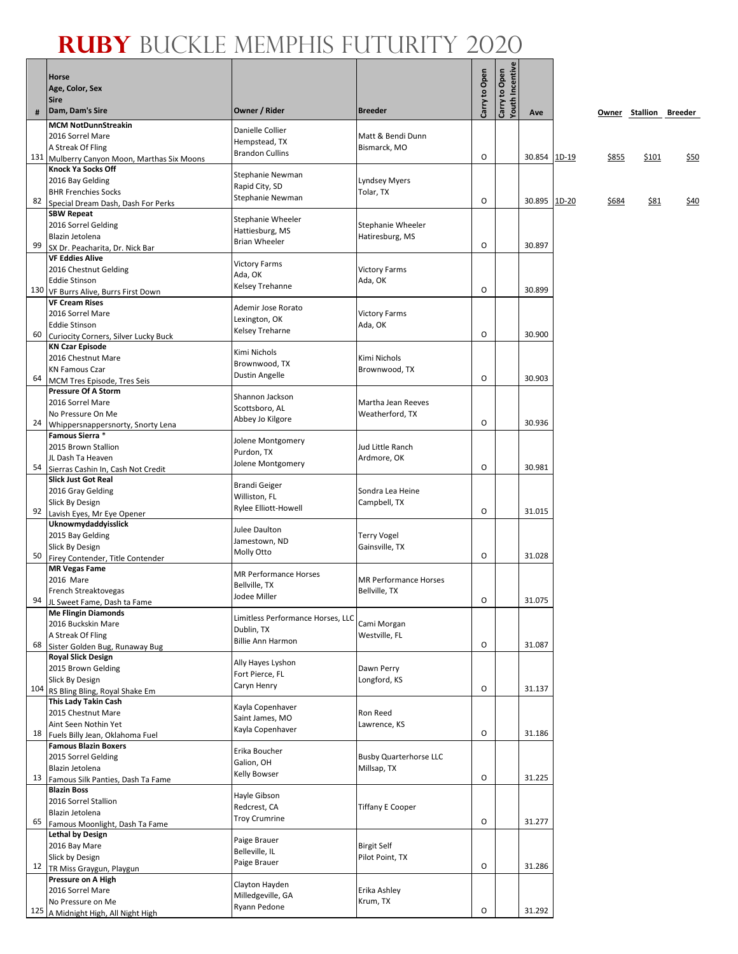٦

|     | Horse                                                                |                                               |                                  | Carry to Open | Carry to Open<br>Youth Incentive |              |       |       |                        |             |
|-----|----------------------------------------------------------------------|-----------------------------------------------|----------------------------------|---------------|----------------------------------|--------------|-------|-------|------------------------|-------------|
|     | Age, Color, Sex                                                      |                                               |                                  |               |                                  |              |       |       |                        |             |
| #   | Sire<br>Dam, Dam's Sire                                              | Owner / Rider                                 | <b>Breeder</b>                   |               |                                  | Ave          |       |       | Owner Stallion Breeder |             |
|     | <b>MCM NotDunnStreakin</b>                                           |                                               |                                  |               |                                  |              |       |       |                        |             |
|     | 2016 Sorrel Mare                                                     | Danielle Collier                              | Matt & Bendi Dunn                |               |                                  |              |       |       |                        |             |
|     | A Streak Of Fling                                                    | Hempstead, TX<br><b>Brandon Cullins</b>       | Bismarck, MO                     |               |                                  |              |       |       |                        |             |
| 131 | Mulberry Canyon Moon, Marthas Six Moons<br><b>Knock Ya Socks Off</b> |                                               |                                  | O             |                                  | 30.854 1D-19 |       | \$855 | \$101                  | \$50        |
|     | 2016 Bay Gelding                                                     | Stephanie Newman                              | Lyndsey Myers                    |               |                                  |              |       |       |                        |             |
|     | <b>BHR Frenchies Socks</b>                                           | Rapid City, SD                                | Tolar, TX                        |               |                                  |              |       |       |                        |             |
| 82  | Special Dream Dash, Dash For Perks                                   | Stephanie Newman                              |                                  | O             |                                  | 30.895       | 1D-20 | \$684 | \$81                   | <u>\$40</u> |
|     | <b>SBW Repeat</b>                                                    | Stephanie Wheeler                             |                                  |               |                                  |              |       |       |                        |             |
|     | 2016 Sorrel Gelding<br>Blazin Jetolena                               | Hattiesburg, MS                               | Stephanie Wheeler                |               |                                  |              |       |       |                        |             |
| 99  | SX Dr. Peacharita, Dr. Nick Bar                                      | <b>Brian Wheeler</b>                          | Hatiresburg, MS                  | O             |                                  | 30.897       |       |       |                        |             |
|     | <b>VF Eddies Alive</b>                                               |                                               |                                  |               |                                  |              |       |       |                        |             |
|     | 2016 Chestnut Gelding                                                | <b>Victory Farms</b><br>Ada, OK               | <b>Victory Farms</b>             |               |                                  |              |       |       |                        |             |
|     | <b>Eddie Stinson</b>                                                 | Kelsey Trehanne                               | Ada, OK                          | O             |                                  | 30.899       |       |       |                        |             |
|     | 130 VF Burrs Alive, Burrs First Down<br><b>VF Cream Rises</b>        |                                               |                                  |               |                                  |              |       |       |                        |             |
|     | 2016 Sorrel Mare                                                     | Ademir Jose Rorato                            | <b>Victory Farms</b>             |               |                                  |              |       |       |                        |             |
|     | <b>Eddie Stinson</b>                                                 | Lexington, OK                                 | Ada, OK                          |               |                                  |              |       |       |                        |             |
| 60  | Curiocity Corners, Silver Lucky Buck                                 | Kelsey Treharne                               |                                  | O             |                                  | 30.900       |       |       |                        |             |
|     | <b>KN Czar Episode</b>                                               | Kimi Nichols                                  |                                  |               |                                  |              |       |       |                        |             |
|     | 2016 Chestnut Mare<br><b>KN Famous Czar</b>                          | Brownwood, TX                                 | Kimi Nichols<br>Brownwood, TX    |               |                                  |              |       |       |                        |             |
| 64  | MCM Tres Episode, Tres Seis                                          | Dustin Angelle                                |                                  | O             |                                  | 30.903       |       |       |                        |             |
|     | <b>Pressure Of A Storm</b>                                           | Shannon Jackson                               |                                  |               |                                  |              |       |       |                        |             |
|     | 2016 Sorrel Mare                                                     | Scottsboro, AL                                | Martha Jean Reeves               |               |                                  |              |       |       |                        |             |
|     | No Pressure On Me                                                    | Abbey Jo Kilgore                              | Weatherford, TX                  | O             |                                  | 30.936       |       |       |                        |             |
| 24  | Whippersnappersnorty, Snorty Lena<br>Famous Sierra *                 |                                               |                                  |               |                                  |              |       |       |                        |             |
|     | 2015 Brown Stallion                                                  | Jolene Montgomery                             | Jud Little Ranch                 |               |                                  |              |       |       |                        |             |
|     | JL Dash Ta Heaven                                                    | Purdon, TX                                    | Ardmore, OK                      |               |                                  |              |       |       |                        |             |
| 54  | Sierras Cashin In, Cash Not Credit                                   | Jolene Montgomery                             |                                  | O             |                                  | 30.981       |       |       |                        |             |
|     | <b>Slick Just Got Real</b>                                           | <b>Brandi Geiger</b>                          |                                  |               |                                  |              |       |       |                        |             |
|     | 2016 Gray Gelding<br>Slick By Design                                 | Williston, FL                                 | Sondra Lea Heine<br>Campbell, TX |               |                                  |              |       |       |                        |             |
| 92  | Lavish Eyes, Mr Eye Opener                                           | Rylee Elliott-Howell                          |                                  | O             |                                  | 31.015       |       |       |                        |             |
|     | Uknowmydaddyisslick                                                  | Julee Daulton                                 |                                  |               |                                  |              |       |       |                        |             |
|     | 2015 Bay Gelding                                                     | Jamestown, ND                                 | Terry Vogel                      |               |                                  |              |       |       |                        |             |
| 50  | Slick By Design<br>Firey Contender, Title Contender                  | Molly Otto                                    | Gainsville, TX                   | O             |                                  | 31.028       |       |       |                        |             |
|     | <b>MR Vegas Fame</b>                                                 |                                               |                                  |               |                                  |              |       |       |                        |             |
|     | 2016 Mare                                                            | <b>MR Performance Horses</b><br>Bellville, TX | <b>MR Performance Horses</b>     |               |                                  |              |       |       |                        |             |
|     | French Streaktovegas                                                 | Jodee Miller                                  | Bellville, TX                    |               |                                  |              |       |       |                        |             |
|     | 94 JL Sweet Fame, Dash ta Fame<br><b>Me Flingin Diamonds</b>         |                                               |                                  | O             |                                  | 31.075       |       |       |                        |             |
|     | 2016 Buckskin Mare                                                   | Limitless Performance Horses, LLC             | Cami Morgan                      |               |                                  |              |       |       |                        |             |
|     | A Streak Of Fling                                                    | Dublin, TX                                    | Westville, FL                    |               |                                  |              |       |       |                        |             |
| 68  | Sister Golden Bug, Runaway Bug                                       | <b>Billie Ann Harmon</b>                      |                                  | O             |                                  | 31.087       |       |       |                        |             |
|     | <b>Royal Slick Design</b>                                            | Ally Hayes Lyshon                             |                                  |               |                                  |              |       |       |                        |             |
|     | 2015 Brown Gelding<br>Slick By Design                                | Fort Pierce, FL                               | Dawn Perry<br>Longford, KS       |               |                                  |              |       |       |                        |             |
|     | 104 RS Bling Bling, Royal Shake Em                                   | Caryn Henry                                   |                                  | O             |                                  | 31.137       |       |       |                        |             |
|     | This Lady Takin Cash                                                 | Kayla Copenhaver                              |                                  |               |                                  |              |       |       |                        |             |
|     | 2015 Chestnut Mare                                                   | Saint James, MO                               | Ron Reed                         |               |                                  |              |       |       |                        |             |
| 18  | Aint Seen Nothin Yet                                                 | Kayla Copenhaver                              | Lawrence, KS                     | O             |                                  | 31.186       |       |       |                        |             |
|     | Fuels Billy Jean, Oklahoma Fuel<br><b>Famous Blazin Boxers</b>       |                                               |                                  |               |                                  |              |       |       |                        |             |
|     | 2015 Sorrel Gelding                                                  | Erika Boucher                                 | <b>Busby Quarterhorse LLC</b>    |               |                                  |              |       |       |                        |             |
|     | Blazin Jetolena                                                      | Galion, OH<br>Kelly Bowser                    | Millsap, TX                      |               |                                  |              |       |       |                        |             |
| 13  | Famous Silk Panties, Dash Ta Fame                                    |                                               |                                  | O             |                                  | 31.225       |       |       |                        |             |
|     | <b>Blazin Boss</b><br>2016 Sorrel Stallion                           | Hayle Gibson                                  |                                  |               |                                  |              |       |       |                        |             |
|     | Blazin Jetolena                                                      | Redcrest, CA                                  | Tiffany E Cooper                 |               |                                  |              |       |       |                        |             |
| 65  | Famous Moonlight, Dash Ta Fame                                       | <b>Troy Crumrine</b>                          |                                  | O             |                                  | 31.277       |       |       |                        |             |
|     | <b>Lethal by Design</b>                                              | Paige Brauer                                  |                                  |               |                                  |              |       |       |                        |             |
|     | 2016 Bay Mare                                                        | Belleville, IL                                | <b>Birgit Self</b>               |               |                                  |              |       |       |                        |             |
| 12  | Slick by Design<br>TR Miss Graygun, Playgun                          | Paige Brauer                                  | Pilot Point, TX                  | O             |                                  | 31.286       |       |       |                        |             |
|     | Pressure on A High                                                   |                                               |                                  |               |                                  |              |       |       |                        |             |
|     | 2016 Sorrel Mare                                                     | Clayton Hayden<br>Milledgeville, GA           | Erika Ashley                     |               |                                  |              |       |       |                        |             |
|     | No Pressure on Me                                                    | Ryann Pedone                                  | Krum, TX                         |               |                                  |              |       |       |                        |             |
|     | 125 A Midnight High, All Night High                                  |                                               |                                  | O             |                                  | 31.292       |       |       |                        |             |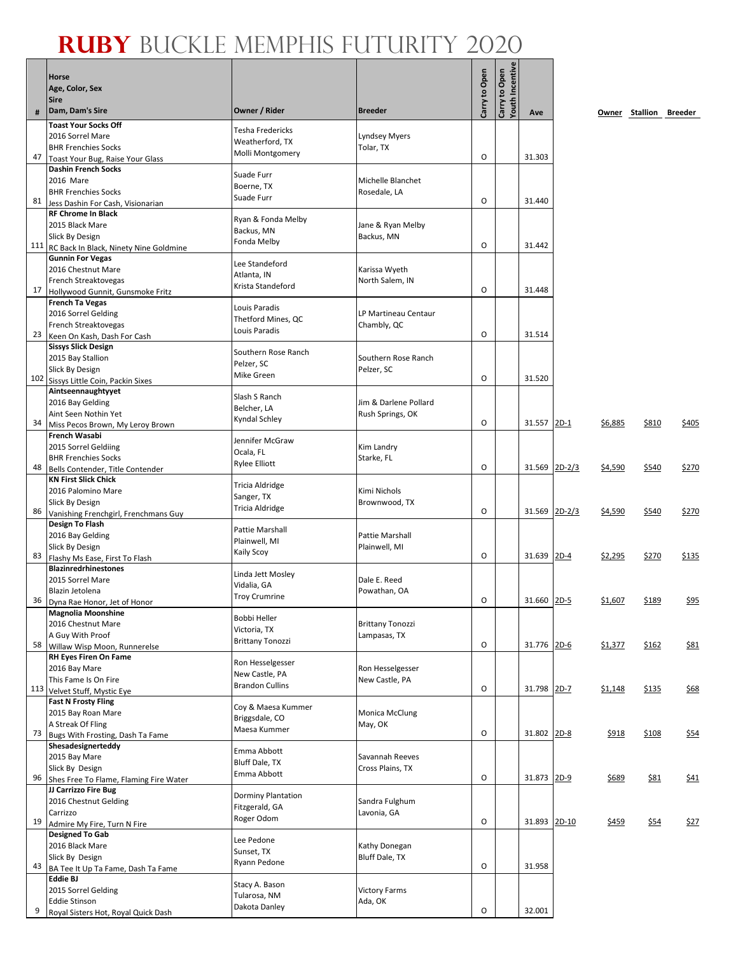# **Ruby** Buckle Memphis Futurity 2020

|    | <b>Horse</b>                                                    |                                     |                                     | Carry to Open | Carry to Open<br>Youth Incentive |               |        |         |             |                        |
|----|-----------------------------------------------------------------|-------------------------------------|-------------------------------------|---------------|----------------------------------|---------------|--------|---------|-------------|------------------------|
|    | Age, Color, Sex                                                 |                                     |                                     |               |                                  |               |        |         |             |                        |
|    | <b>Sire</b><br>Dam, Dam's Sire                                  | Owner / Rider                       | <b>Breeder</b>                      |               |                                  |               |        |         |             |                        |
| #  | <b>Toast Your Socks Off</b>                                     |                                     |                                     |               |                                  | Ave           |        |         |             | Owner Stallion Breeder |
|    | 2016 Sorrel Mare                                                | <b>Tesha Fredericks</b>             | <b>Lyndsey Myers</b>                |               |                                  |               |        |         |             |                        |
|    | <b>BHR Frenchies Socks</b>                                      | Weatherford, TX                     | Tolar, TX                           |               |                                  |               |        |         |             |                        |
| 47 | Toast Your Bug, Raise Your Glass                                | Molli Montgomery                    |                                     | $\circ$       |                                  | 31.303        |        |         |             |                        |
|    | <b>Dashin French Socks</b>                                      | Suade Furr                          |                                     |               |                                  |               |        |         |             |                        |
|    | 2016 Mare                                                       | Boerne, TX                          | Michelle Blanchet                   |               |                                  |               |        |         |             |                        |
| 81 | <b>BHR Frenchies Socks</b><br>Jess Dashin For Cash, Visionarian | Suade Furr                          | Rosedale, LA                        | O             |                                  | 31.440        |        |         |             |                        |
|    | <b>RF Chrome In Black</b>                                       |                                     |                                     |               |                                  |               |        |         |             |                        |
|    | 2015 Black Mare                                                 | Ryan & Fonda Melby<br>Backus, MN    | Jane & Ryan Melby                   |               |                                  |               |        |         |             |                        |
|    | Slick By Design                                                 | Fonda Melby                         | Backus, MN                          |               |                                  |               |        |         |             |                        |
|    | 111 RC Back In Black, Ninety Nine Goldmine                      |                                     |                                     | $\circ$       |                                  | 31.442        |        |         |             |                        |
|    | <b>Gunnin For Vegas</b><br>2016 Chestnut Mare                   | Lee Standeford                      | Karissa Wyeth                       |               |                                  |               |        |         |             |                        |
|    | French Streaktovegas                                            | Atlanta, IN                         | North Salem, IN                     |               |                                  |               |        |         |             |                        |
| 17 | Hollywood Gunnit, Gunsmoke Fritz                                | Krista Standeford                   |                                     | O             |                                  | 31.448        |        |         |             |                        |
|    | <b>French Ta Vegas</b>                                          | Louis Paradis                       |                                     |               |                                  |               |        |         |             |                        |
|    | 2016 Sorrel Gelding                                             | Thetford Mines, QC                  | LP Martineau Centaur                |               |                                  |               |        |         |             |                        |
| 23 | French Streaktovegas                                            | Louis Paradis                       | Chambly, QC                         | O             |                                  | 31.514        |        |         |             |                        |
|    | Keen On Kash, Dash For Cash<br><b>Sissys Slick Design</b>       |                                     |                                     |               |                                  |               |        |         |             |                        |
|    | 2015 Bay Stallion                                               | Southern Rose Ranch                 | Southern Rose Ranch                 |               |                                  |               |        |         |             |                        |
|    | Slick By Design                                                 | Pelzer, SC                          | Pelzer, SC                          |               |                                  |               |        |         |             |                        |
|    | 102 Sissys Little Coin, Packin Sixes                            | Mike Green                          |                                     | O             |                                  | 31.520        |        |         |             |                        |
|    | Aintseennaughtyyet                                              | Slash S Ranch                       |                                     |               |                                  |               |        |         |             |                        |
|    | 2016 Bay Gelding<br>Aint Seen Nothin Yet                        | Belcher, LA                         | Jim & Darlene Pollard               |               |                                  |               |        |         |             |                        |
| 34 | Miss Pecos Brown, My Leroy Brown                                | Kyndal Schley                       | Rush Springs, OK                    | $\circ$       |                                  | 31.557        | $2D-1$ | \$6,885 | \$810       | \$405                  |
|    | <b>French Wasabi</b>                                            |                                     |                                     |               |                                  |               |        |         |             |                        |
|    | 2015 Sorrel Geldiing                                            | Jennifer McGraw<br>Ocala, FL        | Kim Landry                          |               |                                  |               |        |         |             |                        |
|    | <b>BHR Frenchies Socks</b>                                      | <b>Rylee Elliott</b>                | Starke, FL                          |               |                                  |               |        |         |             |                        |
| 48 | Bells Contender, Title Contender                                |                                     |                                     | $\circ$       |                                  | 31.569 2D-2/3 |        | \$4,590 | \$540       | \$270                  |
|    | <b>KN First Slick Chick</b><br>2016 Palomino Mare               | Tricia Aldridge                     | Kimi Nichols                        |               |                                  |               |        |         |             |                        |
|    | Slick By Design                                                 | Sanger, TX                          | Brownwood, TX                       |               |                                  |               |        |         |             |                        |
| 86 | Vanishing Frenchgirl, Frenchmans Guy                            | Tricia Aldridge                     |                                     | $\circ$       |                                  | 31.569 2D-2/3 |        | \$4,590 | \$540       | \$270                  |
|    | <b>Design To Flash</b>                                          | Pattie Marshall                     |                                     |               |                                  |               |        |         |             |                        |
|    | 2016 Bay Gelding                                                | Plainwell, MI                       | Pattie Marshall                     |               |                                  |               |        |         |             |                        |
| 83 | Slick By Design                                                 | Kaily Scoy                          | Plainwell, MI                       | O             |                                  | 31.639 2D-4   |        | \$2,295 | \$270       | \$135                  |
|    | Flashy Ms Ease, First To Flash<br><b>Blazinredrhinestones</b>   |                                     |                                     |               |                                  |               |        |         |             |                        |
|    | 2015 Sorrel Mare                                                | Linda Jett Mosley                   | Dale E. Reed                        |               |                                  |               |        |         |             |                        |
|    | Blazin Jetolena                                                 | Vidalia, GA<br><b>Troy Crumrine</b> | Powathan, OA                        |               |                                  |               |        |         |             |                        |
|    | 36 Dyna Rae Honor, Jet of Honor                                 |                                     |                                     | 0             |                                  | 31.660 2D-5   |        | \$1,607 | \$189       | \$95                   |
|    | <b>Magnolia Moonshine</b><br>2016 Chestnut Mare                 | Bobbi Heller                        | <b>Brittany Tonozzi</b>             |               |                                  |               |        |         |             |                        |
|    | A Guy With Proof                                                | Victoria, TX                        | Lampasas, TX                        |               |                                  |               |        |         |             |                        |
| 58 | Willaw Wisp Moon, Runnerelse                                    | <b>Brittany Tonozzi</b>             |                                     | 0             |                                  | 31.776 2D-6   |        | \$1,377 | \$162       | <u>\$81</u>            |
|    | <b>RH Eyes Firen On Fame</b>                                    | Ron Hesselgesser                    |                                     |               |                                  |               |        |         |             |                        |
|    | 2016 Bay Mare                                                   | New Castle, PA                      | Ron Hesselgesser                    |               |                                  |               |        |         |             |                        |
|    | This Fame Is On Fire<br>113 Velvet Stuff, Mystic Eye            | <b>Brandon Cullins</b>              | New Castle, PA                      | O             |                                  | 31.798 2D-7   |        | \$1,148 | \$135       | \$68                   |
|    | <b>Fast N Frosty Fling</b>                                      |                                     |                                     |               |                                  |               |        |         |             |                        |
|    | 2015 Bay Roan Mare                                              | Coy & Maesa Kummer                  | Monica McClung                      |               |                                  |               |        |         |             |                        |
|    | A Streak Of Fling                                               | Briggsdale, CO<br>Maesa Kummer      | May, OK                             |               |                                  |               |        |         |             |                        |
| 73 | Bugs With Frosting, Dash Ta Fame                                |                                     |                                     | $\mathsf O$   |                                  | 31.802 2D-8   |        | \$918   | \$108       | \$54                   |
|    | Shesadesignerteddy                                              | Emma Abbott                         |                                     |               |                                  |               |        |         |             |                        |
|    | 2015 Bay Mare<br>Slick By Design                                | Bluff Dale, TX                      | Savannah Reeves<br>Cross Plains, TX |               |                                  |               |        |         |             |                        |
| 96 | Shes Free To Flame, Flaming Fire Water                          | Emma Abbott                         |                                     | O             |                                  | 31.873 2D-9   |        | \$689   | <u>\$81</u> | \$41                   |
|    | JJ Carrizzo Fire Bug                                            | Dorminy Plantation                  |                                     |               |                                  |               |        |         |             |                        |
|    | 2016 Chestnut Gelding                                           | Fitzgerald, GA                      | Sandra Fulghum                      |               |                                  |               |        |         |             |                        |
| 19 | Carrizzo                                                        | Roger Odom                          | Lavonia, GA                         | O             |                                  | 31.893 2D-10  |        |         |             |                        |
|    | Admire My Fire, Turn N Fire<br><b>Designed To Gab</b>           |                                     |                                     |               |                                  |               |        | \$459   | \$54        | <u>\$27</u>            |
|    | 2016 Black Mare                                                 | Lee Pedone                          | Kathy Donegan                       |               |                                  |               |        |         |             |                        |
|    | Slick By Design                                                 | Sunset, TX                          | Bluff Dale, TX                      |               |                                  |               |        |         |             |                        |
| 43 | BA Tee It Up Ta Fame, Dash Ta Fame                              | Ryann Pedone                        |                                     | O             |                                  | 31.958        |        |         |             |                        |
|    | <b>Eddie BJ</b>                                                 | Stacy A. Bason                      |                                     |               |                                  |               |        |         |             |                        |
|    | 2015 Sorrel Gelding<br><b>Eddie Stinson</b>                     | Tularosa, NM                        | <b>Victory Farms</b><br>Ada, OK     |               |                                  |               |        |         |             |                        |
| 9  | Royal Sisters Hot, Royal Quick Dash                             | Dakota Danley                       |                                     | O             |                                  | 32.001        |        |         |             |                        |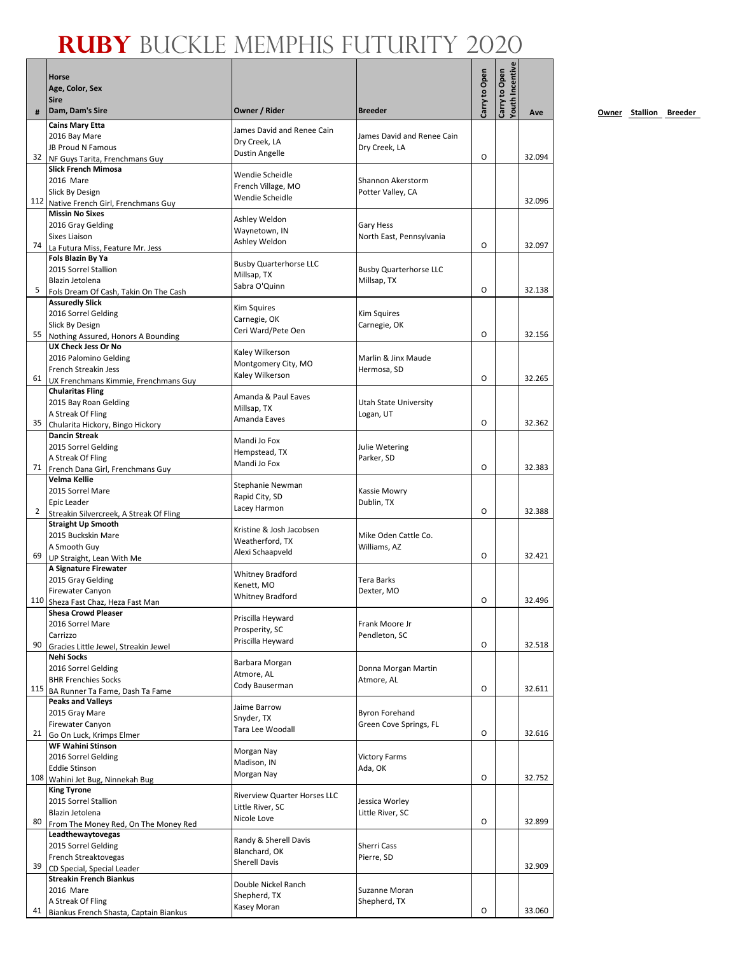# **Ruby** Buckle Memphis Futurity 2020

|     | Horse<br>Age, Color, Sex<br><b>Sire</b>                          |                                             |                                              | Carry to Open | <b>/outh Incentive</b><br>Carry to Open |        |
|-----|------------------------------------------------------------------|---------------------------------------------|----------------------------------------------|---------------|-----------------------------------------|--------|
|     | Dam, Dam's Sire                                                  | Owner / Rider                               | <b>Breeder</b>                               |               |                                         | Ave    |
|     | <b>Cains Mary Etta</b>                                           | James David and Renee Cain                  |                                              |               |                                         |        |
|     | 2016 Bay Mare                                                    | Dry Creek, LA                               | James David and Renee Cain                   |               |                                         |        |
| 32  | <b>JB Proud N Famous</b><br>NF Guys Tarita, Frenchmans Guy       | Dustin Angelle                              | Dry Creek, LA                                | O             |                                         | 32.094 |
|     | <b>Slick French Mimosa</b>                                       |                                             |                                              |               |                                         |        |
|     | 2016 Mare                                                        | Wendie Scheidle<br>French Village, MO       | Shannon Akerstorm                            |               |                                         |        |
|     | Slick By Design                                                  | Wendie Scheidle                             | Potter Valley, CA                            |               |                                         |        |
|     | 112 Native French Girl, Frenchmans Guy<br><b>Missin No Sixes</b> |                                             |                                              |               |                                         | 32.096 |
|     | 2016 Gray Gelding                                                | Ashley Weldon                               | Gary Hess                                    |               |                                         |        |
|     | <b>Sixes Liaison</b>                                             | Waynetown, IN                               | North East, Pennsylvania                     |               |                                         |        |
| 74  | La Futura Miss, Feature Mr. Jess                                 | Ashley Weldon                               |                                              | O             |                                         | 32.097 |
|     | Fols Blazin By Ya<br>2015 Sorrel Stallion                        | <b>Busby Quarterhorse LLC</b>               |                                              |               |                                         |        |
|     | Blazin Jetolena                                                  | Millsap, TX                                 | <b>Busby Quarterhorse LLC</b><br>Millsap, TX |               |                                         |        |
| 5   | Fols Dream Of Cash, Takin On The Cash                            | Sabra O'Quinn                               |                                              | O             |                                         | 32.138 |
|     | <b>Assuredly Slick</b>                                           | <b>Kim Squires</b>                          |                                              |               |                                         |        |
|     | 2016 Sorrel Gelding                                              | Carnegie, OK                                | <b>Kim Squires</b>                           |               |                                         |        |
| 55  | Slick By Design<br>Nothing Assured, Honors A Bounding            | Ceri Ward/Pete Oen                          | Carnegie, OK                                 | O             |                                         | 32.156 |
|     | UX Check Jess Or No                                              |                                             |                                              |               |                                         |        |
|     | 2016 Palomino Gelding                                            | Kaley Wilkerson<br>Montgomery City, MO      | Marlin & Jinx Maude                          |               |                                         |        |
|     | French Streakin Jess                                             | Kaley Wilkerson                             | Hermosa, SD                                  | O             |                                         |        |
| 61  | UX Frenchmans Kimmie, Frenchmans Guy<br><b>Chularitas Fling</b>  |                                             |                                              |               |                                         | 32.265 |
|     | 2015 Bay Roan Gelding                                            | Amanda & Paul Eaves                         | Utah State University                        |               |                                         |        |
|     | A Streak Of Fling                                                | Millsap, TX                                 | Logan, UT                                    |               |                                         |        |
| 35  | Chularita Hickory, Bingo Hickory                                 | Amanda Eaves                                |                                              | O             |                                         | 32.362 |
|     | <b>Dancin Streak</b>                                             | Mandi Jo Fox                                |                                              |               |                                         |        |
|     | 2015 Sorrel Gelding<br>A Streak Of Fling                         | Hempstead, TX                               | Julie Wetering<br>Parker, SD                 |               |                                         |        |
| 71  | French Dana Girl, Frenchmans Guy                                 | Mandi Jo Fox                                |                                              | O             |                                         | 32.383 |
|     | Velma Kellie                                                     | Stephanie Newman                            |                                              |               |                                         |        |
|     | 2015 Sorrel Mare                                                 | Rapid City, SD                              | Kassie Mowry                                 |               |                                         |        |
| 2   | Epic Leader<br>Streakin Silvercreek, A Streak Of Fling           | Lacey Harmon                                | Dublin, TX                                   | O             |                                         | 32.388 |
|     | <b>Straight Up Smooth</b>                                        |                                             |                                              |               |                                         |        |
|     | 2015 Buckskin Mare                                               | Kristine & Josh Jacobsen<br>Weatherford, TX | Mike Oden Cattle Co.                         |               |                                         |        |
|     | A Smooth Guy                                                     | Alexi Schaapveld                            | Williams, AZ                                 | O             |                                         |        |
| 69  | UP Straight, Lean With Me<br>A Signature Firewater               |                                             |                                              |               |                                         | 32.421 |
|     | 2015 Gray Gelding                                                | <b>Whitney Bradford</b>                     | Tera Barks                                   |               |                                         |        |
|     | <b>Firewater Canyon</b>                                          | Kenett, MO<br><b>Whitney Bradford</b>       | Dexter, MO                                   |               |                                         |        |
|     | 110 Sheza Fast Chaz, Heza Fast Man                               |                                             |                                              | O             |                                         | 32.496 |
|     | <b>Shesa Crowd Pleaser</b><br>2016 Sorrel Mare                   | Priscilla Heyward                           | Frank Moore Jr                               |               |                                         |        |
|     | Carrizzo                                                         | Prosperity, SC                              | Pendleton, SC                                |               |                                         |        |
| 90  | Gracies Little Jewel, Streakin Jewel                             | Priscilla Heyward                           |                                              | 0             |                                         | 32.518 |
|     | Nehi Socks                                                       | Barbara Morgan                              |                                              |               |                                         |        |
|     | 2016 Sorrel Gelding<br><b>BHR Frenchies Socks</b>                | Atmore, AL                                  | Donna Morgan Martin<br>Atmore, AL            |               |                                         |        |
|     | 115 BA Runner Ta Fame, Dash Ta Fame                              | Cody Bauserman                              |                                              | O             |                                         | 32.611 |
|     | <b>Peaks and Valleys</b>                                         |                                             |                                              |               |                                         |        |
|     | 2015 Gray Mare                                                   | Jaime Barrow<br>Snyder, TX                  | <b>Byron Forehand</b>                        |               |                                         |        |
| 21  | Firewater Canyon                                                 | Tara Lee Woodall                            | Green Cove Springs, FL                       | O             |                                         | 32.616 |
|     | Go On Luck, Krimps Elmer<br><b>WF Wahini Stinson</b>             |                                             |                                              |               |                                         |        |
|     | 2016 Sorrel Gelding                                              | Morgan Nay                                  | <b>Victory Farms</b>                         |               |                                         |        |
|     | <b>Eddie Stinson</b>                                             | Madison, IN<br>Morgan Nay                   | Ada, OK                                      |               |                                         |        |
| 108 | Wahini Jet Bug, Ninnekah Bug                                     |                                             |                                              | O             |                                         | 32.752 |
|     | <b>King Tyrone</b><br>2015 Sorrel Stallion                       | <b>Riverview Quarter Horses LLC</b>         | Jessica Worley                               |               |                                         |        |
|     | Blazin Jetolena                                                  | Little River, SC                            | Little River, SC                             |               |                                         |        |
| 80  | From The Money Red, On The Money Red                             | Nicole Love                                 |                                              | 0             |                                         | 32.899 |
|     | Leadthewaytovegas                                                | Randy & Sherell Davis                       |                                              |               |                                         |        |
|     | 2015 Sorrel Gelding<br>French Streaktovegas                      | Blanchard, OK                               | Sherri Cass                                  |               |                                         |        |
| 39  | CD Special, Special Leader                                       | <b>Sherell Davis</b>                        | Pierre, SD                                   |               |                                         | 32.909 |
|     | <b>Streakin French Biankus</b>                                   | Double Nickel Ranch                         |                                              |               |                                         |        |
|     | 2016 Mare                                                        | Shepherd, TX                                | Suzanne Moran                                |               |                                         |        |
| 41  | A Streak Of Fling                                                | Kasey Moran                                 | Shepherd, TX                                 | O             |                                         | 33.060 |
|     | Biankus French Shasta, Captain Biankus                           |                                             |                                              |               |                                         |        |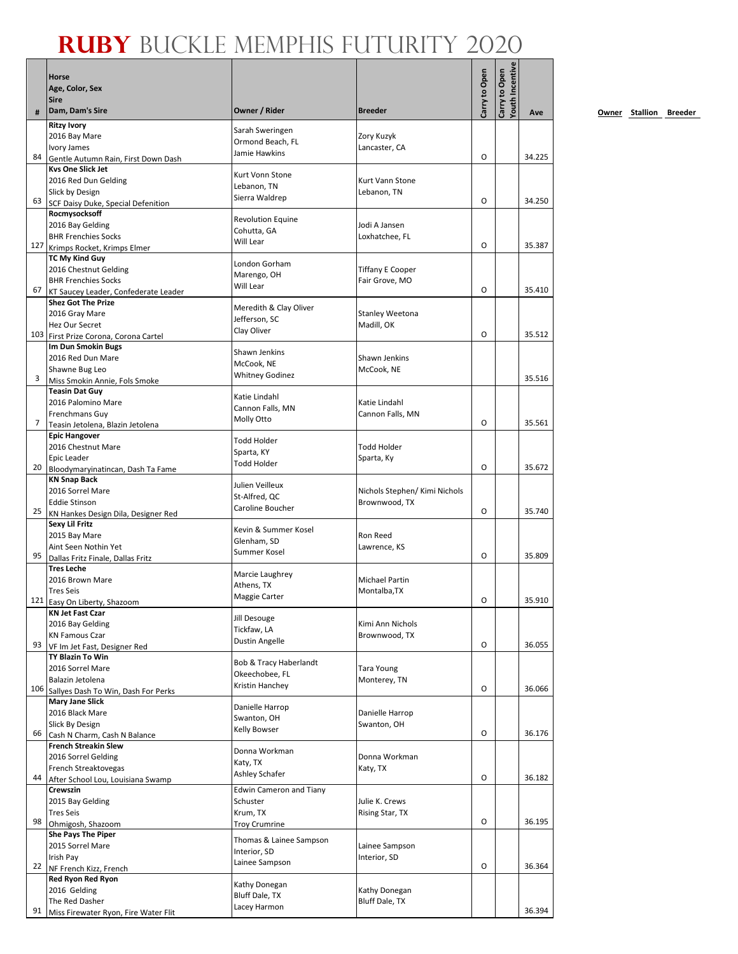|    |                                                                   |                                         |                                 |               | <b>/outh Incentive</b> |        |
|----|-------------------------------------------------------------------|-----------------------------------------|---------------------------------|---------------|------------------------|--------|
|    | Horse<br>Age, Color, Sex                                          |                                         |                                 | Carry to Open | Carry to Open          |        |
|    | <b>Sire</b>                                                       |                                         |                                 |               |                        |        |
|    | Dam, Dam's Sire                                                   | Owner / Rider                           | <b>Breeder</b>                  |               |                        | Ave    |
|    | <b>Ritzy Ivory</b>                                                |                                         |                                 |               |                        |        |
|    | 2016 Bay Mare                                                     | Sarah Sweringen<br>Ormond Beach, FL     | Zory Kuzyk                      |               |                        |        |
| 84 | Ivory James                                                       | Jamie Hawkins                           | Lancaster, CA                   | 0             |                        | 34.225 |
|    | Gentle Autumn Rain, First Down Dash<br><b>Kys One Slick Jet</b>   |                                         |                                 |               |                        |        |
|    | 2016 Red Dun Gelding                                              | Kurt Vonn Stone                         | Kurt Vann Stone                 |               |                        |        |
|    | Slick by Design                                                   | Lebanon, TN                             | Lebanon, TN                     |               |                        |        |
| 63 | SCF Daisy Duke, Special Defenition                                | Sierra Waldrep                          |                                 | 0             |                        | 34.250 |
|    | Rocmysocksoff                                                     | <b>Revolution Equine</b>                |                                 |               |                        |        |
|    | 2016 Bay Gelding<br><b>BHR Frenchies Socks</b>                    | Cohutta, GA                             | Jodi A Jansen<br>Loxhatchee, FL |               |                        |        |
|    | 127 Krimps Rocket, Krimps Elmer                                   | Will Lear                               |                                 | O             |                        | 35.387 |
|    | TC My Kind Guy                                                    | London Gorham                           |                                 |               |                        |        |
|    | 2016 Chestnut Gelding                                             | Marengo, OH                             | <b>Tiffany E Cooper</b>         |               |                        |        |
| 67 | <b>BHR Frenchies Socks</b>                                        | Will Lear                               | Fair Grove, MO                  | 0             |                        | 35.410 |
|    | KT Saucey Leader, Confederate Leader<br><b>Shez Got The Prize</b> |                                         |                                 |               |                        |        |
|    | 2016 Gray Mare                                                    | Meredith & Clay Oliver                  | Stanley Weetona                 |               |                        |        |
|    | Hez Our Secret                                                    | Jefferson, SC<br>Clay Oliver            | Madill, OK                      |               |                        |        |
|    | 103 First Prize Corona, Corona Cartel                             |                                         |                                 | O             |                        | 35.512 |
|    | Im Dun Smokin Bugs                                                | Shawn Jenkins                           | Shawn Jenkins                   |               |                        |        |
|    | 2016 Red Dun Mare<br>Shawne Bug Leo                               | McCook, NE                              | McCook, NE                      |               |                        |        |
| 3  | Miss Smokin Annie, Fols Smoke                                     | <b>Whitney Godinez</b>                  |                                 |               |                        | 35.516 |
|    | <b>Teasin Dat Guy</b>                                             | Katie Lindahl                           |                                 |               |                        |        |
|    | 2016 Palomino Mare                                                | Cannon Falls, MN                        | Katie Lindahl                   |               |                        |        |
| 7  | <b>Frenchmans Guy</b>                                             | Molly Otto                              | Cannon Falls, MN                | 0             |                        | 35.561 |
|    | Teasin Jetolena, Blazin Jetolena<br><b>Epic Hangover</b>          |                                         |                                 |               |                        |        |
|    | 2016 Chestnut Mare                                                | <b>Todd Holder</b>                      | <b>Todd Holder</b>              |               |                        |        |
|    | Epic Leader                                                       | Sparta, KY<br><b>Todd Holder</b>        | Sparta, Ky                      |               |                        |        |
| 20 | Bloodymaryinatincan, Dash Ta Fame                                 |                                         |                                 | 0             |                        | 35.672 |
|    | <b>KN Snap Back</b><br>2016 Sorrel Mare                           | Julien Veilleux                         | Nichols Stephen/ Kimi Nichols   |               |                        |        |
|    | <b>Eddie Stinson</b>                                              | St-Alfred, QC                           | Brownwood, TX                   |               |                        |        |
|    | 25 KN Hankes Design Dila, Designer Red                            | Caroline Boucher                        |                                 | 0             |                        | 35.740 |
|    | Sexy Lil Fritz                                                    | Kevin & Summer Kosel                    |                                 |               |                        |        |
|    | 2015 Bay Mare                                                     | Glenham, SD                             | Ron Reed                        |               |                        |        |
| 95 | Aint Seen Nothin Yet<br>Dallas Fritz Finale, Dallas Fritz         | Summer Kosel                            | Lawrence, KS                    | O             |                        | 35.809 |
|    | <b>Tres Leche</b>                                                 |                                         |                                 |               |                        |        |
|    | 2016 Brown Mare                                                   | Marcie Laughrey<br>Athens, TX           | Michael Partin                  |               |                        |        |
|    | <b>Tres Seis</b>                                                  | Maggie Carter                           | Montalba, TX                    |               |                        |        |
|    | 121 Easy On Liberty, Shazoom                                      |                                         |                                 | O             |                        | 35.910 |
|    | <b>KN Jet Fast Czar</b><br>2016 Bay Gelding                       | Jill Desouge                            | Kimi Ann Nichols                |               |                        |        |
|    | <b>KN Famous Czar</b>                                             | Tickfaw, LA                             | Brownwood, TX                   |               |                        |        |
| 93 | VF Im Jet Fast, Designer Red                                      | Dustin Angelle                          |                                 | 0             |                        | 36.055 |
|    | <b>TY Blazin To Win</b>                                           | Bob & Tracy Haberlandt                  |                                 |               |                        |        |
|    | 2016 Sorrel Mare                                                  | Okeechobee, FL                          | <b>Tara Young</b>               |               |                        |        |
|    | Balazin Jetolena<br>106 Sallyes Dash To Win, Dash For Perks       | Kristin Hanchey                         | Monterey, TN                    | O             |                        | 36.066 |
|    | <b>Mary Jane Slick</b>                                            |                                         |                                 |               |                        |        |
|    | 2016 Black Mare                                                   | Danielle Harrop<br>Swanton, OH          | Danielle Harrop                 |               |                        |        |
|    | Slick By Design                                                   | Kelly Bowser                            | Swanton, OH                     |               |                        |        |
| 66 | Cash N Charm, Cash N Balance<br><b>French Streakin Slew</b>       |                                         |                                 | O             |                        | 36.176 |
|    | 2016 Sorrel Gelding                                               | Donna Workman                           | Donna Workman                   |               |                        |        |
|    | French Streaktovegas                                              | Katy, TX                                | Katy, TX                        |               |                        |        |
| 44 | After School Lou, Louisiana Swamp                                 | Ashley Schafer                          |                                 | O             |                        | 36.182 |
|    | Crewszin                                                          | <b>Edwin Cameron and Tiany</b>          |                                 |               |                        |        |
|    | 2015 Bay Gelding<br><b>Tres Seis</b>                              | Schuster                                | Julie K. Crews                  |               |                        |        |
| 98 | Ohmigosh, Shazoom                                                 | Krum, TX<br><b>Troy Crumrine</b>        | Rising Star, TX                 | O             |                        | 36.195 |
|    | <b>She Pays The Piper</b>                                         |                                         |                                 |               |                        |        |
|    | 2015 Sorrel Mare                                                  | Thomas & Lainee Sampson<br>Interior, SD | Lainee Sampson                  |               |                        |        |
|    | Irish Pay                                                         | Lainee Sampson                          | Interior, SD                    |               |                        |        |
| 22 | NF French Kizz, French<br>Red Ryon Red Ryon                       |                                         |                                 | O             |                        | 36.364 |
|    | 2016 Gelding                                                      | Kathy Donegan                           | Kathy Donegan                   |               |                        |        |
|    | The Red Dasher                                                    | Bluff Dale, TX                          | <b>Bluff Dale, TX</b>           |               |                        |        |
| 91 | Miss Firewater Ryon, Fire Water Flit                              | Lacey Harmon                            |                                 |               |                        | 36.394 |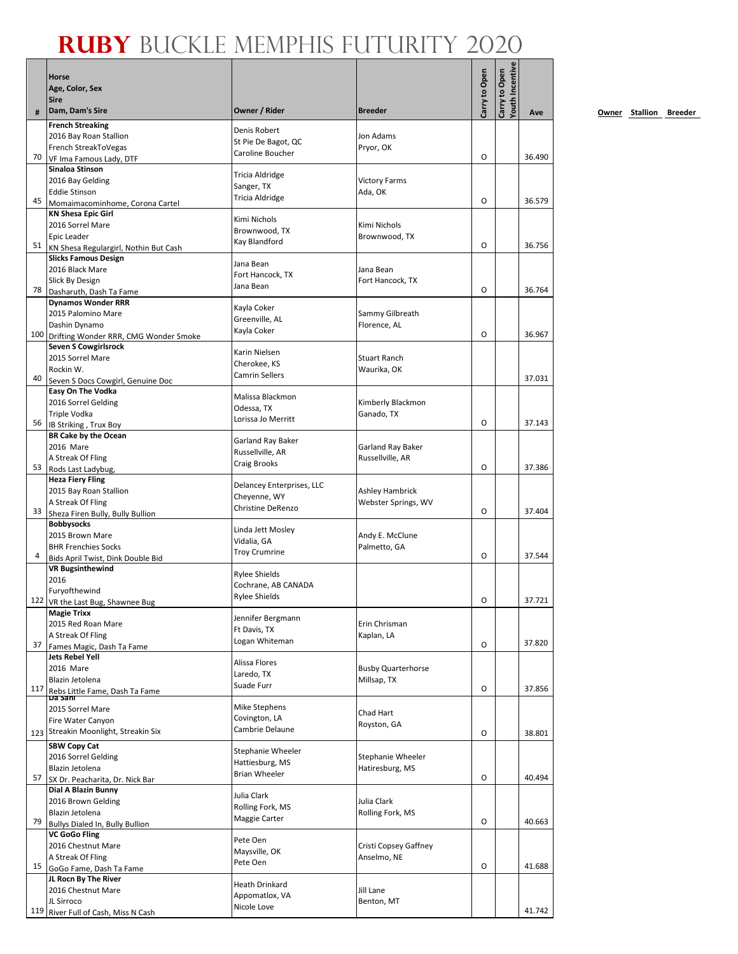|     | Horse<br>Age, Color, Sex<br><b>Sire</b>                              |                                             |                                 | Carry to Open | Youth Incentive<br>Carry to Open |        |
|-----|----------------------------------------------------------------------|---------------------------------------------|---------------------------------|---------------|----------------------------------|--------|
| #   | Dam, Dam's Sire                                                      | Owner / Rider                               | <b>Breeder</b>                  |               |                                  | Ave    |
|     | <b>French Streaking</b>                                              | Denis Robert                                |                                 |               |                                  |        |
|     | 2016 Bay Roan Stallion                                               | St Pie De Bagot, QC                         | Jon Adams                       |               |                                  |        |
| 70  | French StreakToVegas                                                 | Caroline Boucher                            | Pryor, OK                       | 0             |                                  | 36.490 |
|     | VF Ima Famous Lady, DTF<br>Sinaloa Stinson                           |                                             |                                 |               |                                  |        |
|     | 2016 Bay Gelding                                                     | Tricia Aldridge                             | <b>Victory Farms</b>            |               |                                  |        |
|     | <b>Eddie Stinson</b>                                                 | Sanger, TX                                  | Ada, OK                         |               |                                  |        |
| 45  | Momaimacominhome, Corona Cartel                                      | Tricia Aldridge                             |                                 | O             |                                  | 36.579 |
|     | <b>KN Shesa Epic Girl</b>                                            | Kimi Nichols                                |                                 |               |                                  |        |
|     | 2016 Sorrel Mare                                                     | Brownwood, TX                               | Kimi Nichols                    |               |                                  |        |
| 51  | <b>Epic Leader</b>                                                   | Kay Blandford                               | Brownwood, TX                   | 0             |                                  | 36.756 |
|     | KN Shesa Regulargirl, Nothin But Cash<br><b>Slicks Famous Design</b> |                                             |                                 |               |                                  |        |
|     | 2016 Black Mare                                                      | Jana Bean                                   | Jana Bean                       |               |                                  |        |
|     | Slick By Design                                                      | Fort Hancock, TX                            | Fort Hancock, TX                |               |                                  |        |
| 78  | Dasharuth, Dash Ta Fame                                              | Jana Bean                                   |                                 | 0             |                                  | 36.764 |
|     | <b>Dynamos Wonder RRR</b>                                            | Kayla Coker                                 |                                 |               |                                  |        |
|     | 2015 Palomino Mare                                                   | Greenville, AL                              | Sammy Gilbreath                 |               |                                  |        |
|     | Dashin Dynamo                                                        | Kayla Coker                                 | Florence, AL                    |               |                                  |        |
| 100 | Drifting Wonder RRR, CMG Wonder Smoke                                |                                             |                                 | 0             |                                  | 36.967 |
|     | <b>Seven S Cowgirlsrock</b><br>2015 Sorrel Mare                      | Karin Nielsen                               | <b>Stuart Ranch</b>             |               |                                  |        |
|     | Rockin W.                                                            | Cherokee, KS                                | Waurika, OK                     |               |                                  |        |
| 40  | Seven S Docs Cowgirl, Genuine Doc                                    | <b>Camrin Sellers</b>                       |                                 |               |                                  | 37.031 |
|     | Easy On The Vodka                                                    | Malissa Blackmon                            |                                 |               |                                  |        |
|     | 2016 Sorrel Gelding                                                  | Odessa, TX                                  | Kimberly Blackmon               |               |                                  |        |
|     | <b>Triple Vodka</b>                                                  | Lorissa Jo Merritt                          | Ganado, TX                      |               |                                  |        |
| 56  | IB Striking, Trux Boy                                                |                                             |                                 | 0             |                                  | 37.143 |
|     | <b>BR Cake by the Ocean</b><br>2016 Mare                             | Garland Ray Baker                           | Garland Ray Baker               |               |                                  |        |
|     | A Streak Of Fling                                                    | Russellville, AR                            | Russellville, AR                |               |                                  |        |
| 53  | Rods Last Ladybug,                                                   | Craig Brooks                                |                                 | 0             |                                  | 37.386 |
|     | <b>Heza Fiery Fling</b>                                              |                                             |                                 |               |                                  |        |
|     | 2015 Bay Roan Stallion                                               | Delancey Enterprises, LLC<br>Cheyenne, WY   | <b>Ashley Hambrick</b>          |               |                                  |        |
|     | A Streak Of Fling                                                    | Christine DeRenzo                           | Webster Springs, WV             |               |                                  |        |
| 33  | Sheza Firen Bully, Bully Bullion                                     |                                             |                                 | O             |                                  | 37.404 |
|     | <b>Bobbysocks</b>                                                    | Linda Jett Mosley                           |                                 |               |                                  |        |
|     | 2015 Brown Mare<br><b>BHR Frenchies Socks</b>                        | Vidalia, GA                                 | Andy E. McClune<br>Palmetto, GA |               |                                  |        |
| 4   | Bids April Twist, Dink Double Bid                                    | <b>Troy Crumrine</b>                        |                                 | 0             |                                  | 37.544 |
|     | <b>VR Bugsinthewind</b>                                              |                                             |                                 |               |                                  |        |
|     | 2016                                                                 | <b>Rylee Shields</b><br>Cochrane, AB CANADA |                                 |               |                                  |        |
|     | Furyofthewind                                                        | <b>Rylee Shields</b>                        |                                 |               |                                  |        |
|     | 122 VR the Last Bug, Shawnee Bug                                     |                                             |                                 | $\Omega$      |                                  | 37.721 |
|     | <b>Magie Trixx</b><br>2015 Red Roan Mare                             | Jennifer Bergmann                           | Erin Chrisman                   |               |                                  |        |
|     | A Streak Of Fling                                                    | Ft Davis, TX                                | Kaplan, LA                      |               |                                  |        |
| 37  | Fames Magic, Dash Ta Fame                                            | Logan Whiteman                              |                                 | 0             |                                  | 37.820 |
|     | <b>Jets Rebel Yell</b>                                               | Alissa Flores                               |                                 |               |                                  |        |
|     | 2016 Mare                                                            | Laredo, TX                                  | <b>Busby Quarterhorse</b>       |               |                                  |        |
|     | Blazin Jetolena                                                      | Suade Furr                                  | Millsap, TX                     | 0             |                                  | 37.856 |
| 117 | Rebs Little Fame, Dash Ta Fame                                       |                                             |                                 |               |                                  |        |
|     | 2015 Sorrel Mare                                                     | Mike Stephens                               | Chad Hart                       |               |                                  |        |
|     | Fire Water Canyon                                                    | Covington, LA                               | Royston, GA                     |               |                                  |        |
|     | 123 Streakin Moonlight, Streakin Six                                 | Cambrie Delaune                             |                                 | 0             |                                  | 38.801 |
|     | <b>SBW Copy Cat</b>                                                  | Stephanie Wheeler                           |                                 |               |                                  |        |
|     | 2016 Sorrel Gelding                                                  | Hattiesburg, MS                             | Stephanie Wheeler               |               |                                  |        |
| 57  | Blazin Jetolena                                                      | Brian Wheeler                               | Hatiresburg, MS                 | 0             |                                  | 40.494 |
|     | SX Dr. Peacharita, Dr. Nick Bar                                      |                                             |                                 |               |                                  |        |
|     | Dial A Blazin Bunny<br>2016 Brown Gelding                            | Julia Clark                                 | Julia Clark                     |               |                                  |        |
|     | Blazin Jetolena                                                      | Rolling Fork, MS                            | Rolling Fork, MS                |               |                                  |        |
| 79  | Bullys Dialed In, Bully Bullion                                      | Maggie Carter                               |                                 | 0             |                                  | 40.663 |
|     | <b>VC GoGo Fling</b>                                                 |                                             |                                 |               |                                  |        |
|     | 2016 Chestnut Mare                                                   | Pete Oen<br>Maysville, OK                   | Cristi Copsey Gaffney           |               |                                  |        |
|     | A Streak Of Fling                                                    | Pete Oen                                    | Anselmo, NE                     |               |                                  |        |
| 15  | GoGo Fame, Dash Ta Fame                                              |                                             |                                 | 0             |                                  | 41.688 |
|     | JL Rocn By The River<br>2016 Chestnut Mare                           | Heath Drinkard                              | Jill Lane                       |               |                                  |        |
|     | JL Sirroco                                                           | Appomatlox, VA                              | Benton, MT                      |               |                                  |        |
| 119 | River Full of Cash, Miss N Cash                                      | Nicole Love                                 |                                 |               |                                  | 41.742 |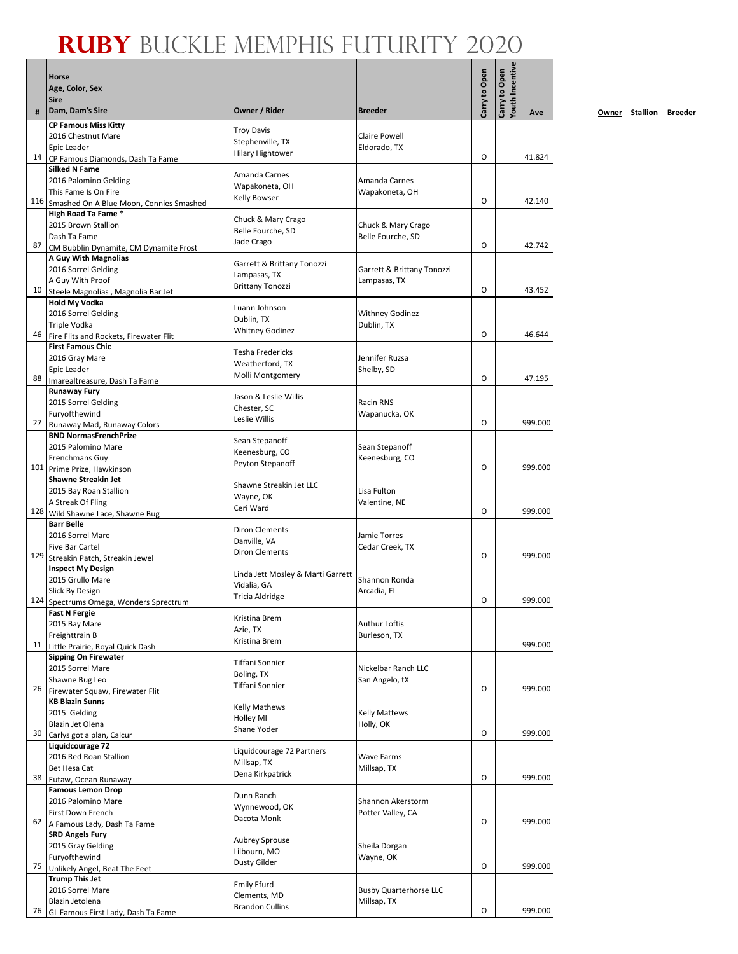|     | Horse                                                  |                                            |                                         | Carry to Open | <b>Touth Incentive</b><br>Carry to Open |         |
|-----|--------------------------------------------------------|--------------------------------------------|-----------------------------------------|---------------|-----------------------------------------|---------|
|     | Age, Color, Sex                                        |                                            |                                         |               |                                         |         |
|     | <b>Sire</b>                                            |                                            |                                         |               |                                         |         |
| #   | Dam, Dam's Sire                                        | Owner / Rider                              | <b>Breeder</b>                          |               |                                         | Ave     |
|     | <b>CP Famous Miss Kitty</b>                            | <b>Troy Davis</b>                          |                                         |               |                                         |         |
|     | 2016 Chestnut Mare<br>Epic Leader                      | Stephenville, TX                           | <b>Claire Powell</b><br>Eldorado, TX    |               |                                         |         |
| 14  | CP Famous Diamonds, Dash Ta Fame                       | <b>Hilary Hightower</b>                    |                                         | O             |                                         | 41.824  |
|     | <b>Silked N Fame</b>                                   |                                            |                                         |               |                                         |         |
|     | 2016 Palomino Gelding                                  | Amanda Carnes<br>Wapakoneta, OH            | Amanda Carnes                           |               |                                         |         |
|     | This Fame Is On Fire                                   | Kelly Bowser                               | Wapakoneta, OH                          |               |                                         |         |
|     | 116 Smashed On A Blue Moon, Connies Smashed            |                                            |                                         | O             |                                         | 42.140  |
|     | High Road Ta Fame *<br>2015 Brown Stallion             | Chuck & Mary Crago                         |                                         |               |                                         |         |
|     | Dash Ta Fame                                           | Belle Fourche, SD                          | Chuck & Mary Crago<br>Belle Fourche, SD |               |                                         |         |
| 87  | CM Bubblin Dynamite, CM Dynamite Frost                 | Jade Crago                                 |                                         | O             |                                         | 42.742  |
|     | A Guy With Magnolias                                   |                                            |                                         |               |                                         |         |
|     | 2016 Sorrel Gelding                                    | Garrett & Brittany Tonozzi<br>Lampasas, TX | Garrett & Brittany Tonozzi              |               |                                         |         |
|     | A Guy With Proof                                       | <b>Brittany Tonozzi</b>                    | Lampasas, TX                            |               |                                         |         |
| 10  | Steele Magnolias, Magnolia Bar Jet                     |                                            |                                         | O             |                                         | 43.452  |
|     | <b>Hold My Vodka</b><br>2016 Sorrel Gelding            | Luann Johnson                              | <b>Withney Godinez</b>                  |               |                                         |         |
|     | Triple Vodka                                           | Dublin, TX                                 | Dublin, TX                              |               |                                         |         |
| 46  | Fire Flits and Rockets, Firewater Flit                 | <b>Whitney Godinez</b>                     |                                         | 0             |                                         | 46.644  |
|     | <b>First Famous Chic</b>                               | Tesha Fredericks                           |                                         |               |                                         |         |
|     | 2016 Gray Mare                                         | Weatherford, TX                            | Jennifer Ruzsa                          |               |                                         |         |
|     | Epic Leader                                            | Molli Montgomery                           | Shelby, SD                              |               |                                         |         |
| 88  | Imarealtreasure, Dash Ta Fame                          |                                            |                                         | O             |                                         | 47.195  |
|     | <b>Runaway Fury</b><br>2015 Sorrel Gelding             | Jason & Leslie Willis                      | Racin RNS                               |               |                                         |         |
|     | Furyofthewind                                          | Chester, SC                                | Wapanucka, OK                           |               |                                         |         |
| 27  | Runaway Mad, Runaway Colors                            | Leslie Willis                              |                                         | O             |                                         | 999.000 |
|     | <b>BND NormasFrenchPrize</b>                           |                                            |                                         |               |                                         |         |
|     | 2015 Palomino Mare                                     | Sean Stepanoff                             | Sean Stepanoff                          |               |                                         |         |
|     | Frenchmans Guy                                         | Keenesburg, CO<br>Peyton Stepanoff         | Keenesburg, CO                          |               |                                         |         |
|     | 101 Prime Prize, Hawkinson                             |                                            |                                         | O             |                                         | 999.000 |
|     | <b>Shawne Streakin Jet</b>                             | Shawne Streakin Jet LLC                    |                                         |               |                                         |         |
|     | 2015 Bay Roan Stallion<br>A Streak Of Fling            | Wayne, OK                                  | Lisa Fulton                             |               |                                         |         |
|     | 128 Wild Shawne Lace, Shawne Bug                       | Ceri Ward                                  | Valentine, NE                           | O             |                                         | 999.000 |
|     | <b>Barr Belle</b>                                      |                                            |                                         |               |                                         |         |
|     | 2016 Sorrel Mare                                       | <b>Diron Clements</b>                      | Jamie Torres                            |               |                                         |         |
|     | Five Bar Cartel                                        | Danville, VA<br>Diron Clements             | Cedar Creek, TX                         |               |                                         |         |
| 129 | Streakin Patch, Streakin Jewel                         |                                            |                                         | O             |                                         | 999.000 |
|     | <b>Inspect My Design</b>                               | Linda Jett Mosley & Marti Garrett          |                                         |               |                                         |         |
|     | 2015 Grullo Mare<br>Slick By Design                    | Vidalia, GA                                | Shannon Ronda<br>Arcadia, FL            |               |                                         |         |
|     | 124 Spectrums Omega, Wonders Sprectrum                 | Tricia Aldridge                            |                                         | O             |                                         | 999.000 |
|     | <b>Fast N Fergie</b>                                   |                                            |                                         |               |                                         |         |
|     | 2015 Bay Mare                                          | Kristina Brem<br>Azie, TX                  | <b>Authur Loftis</b>                    |               |                                         |         |
|     | Freighttrain B                                         | Kristina Brem                              | Burleson, TX                            |               |                                         |         |
| 11  | Little Prairie, Royal Quick Dash                       |                                            |                                         |               |                                         | 999.000 |
|     | <b>Sipping On Firewater</b>                            | Tiffani Sonnier                            |                                         |               |                                         |         |
|     | 2015 Sorrel Mare<br>Shawne Bug Leo                     | Boling, TX                                 | Nickelbar Ranch LLC<br>San Angelo, tX   |               |                                         |         |
| 26  | Firewater Squaw, Firewater Flit                        | Tiffani Sonnier                            |                                         | O             |                                         | 999.000 |
|     | <b>KB Blazin Sunns</b>                                 |                                            |                                         |               |                                         |         |
|     | 2015 Gelding                                           | <b>Kelly Mathews</b>                       | <b>Kelly Mattews</b>                    |               |                                         |         |
|     | Blazin Jet Olena                                       | <b>Holley MI</b><br>Shane Yoder            | Holly, OK                               |               |                                         |         |
| 30  | Carlys got a plan, Calcur                              |                                            |                                         | O             |                                         | 999.000 |
|     | Liquidcourage 72                                       | Liquidcourage 72 Partners                  |                                         |               |                                         |         |
|     | 2016 Red Roan Stallion                                 | Millsap, TX                                | Wave Farms                              |               |                                         |         |
| 38  | Bet Hesa Cat<br>Eutaw, Ocean Runaway                   | Dena Kirkpatrick                           | Millsap, TX                             | O             |                                         | 999.000 |
|     | <b>Famous Lemon Drop</b>                               |                                            |                                         |               |                                         |         |
|     | 2016 Palomino Mare                                     | Dunn Ranch                                 | Shannon Akerstorm                       |               |                                         |         |
|     | First Down French                                      | Wynnewood, OK<br>Dacota Monk               | Potter Valley, CA                       |               |                                         |         |
| 62  | A Famous Lady, Dash Ta Fame                            |                                            |                                         | O             |                                         | 999.000 |
|     | <b>SRD Angels Fury</b>                                 | <b>Aubrey Sprouse</b>                      |                                         |               |                                         |         |
|     | 2015 Gray Gelding                                      | Lilbourn, MO                               | Sheila Dorgan                           |               |                                         |         |
| 75  | Furyofthewind                                          | Dusty Gilder                               | Wayne, OK                               | O             |                                         | 999.000 |
|     | Unlikely Angel, Beat The Feet<br><b>Trump This Jet</b> |                                            |                                         |               |                                         |         |
|     | 2016 Sorrel Mare                                       | <b>Emily Efurd</b>                         | <b>Busby Quarterhorse LLC</b>           |               |                                         |         |
|     | Blazin Jetolena                                        | Clements, MD                               | Millsap, TX                             |               |                                         |         |
| 76  | GL Famous First Lady, Dash Ta Fame                     | <b>Brandon Cullins</b>                     |                                         | O             |                                         | 999.000 |